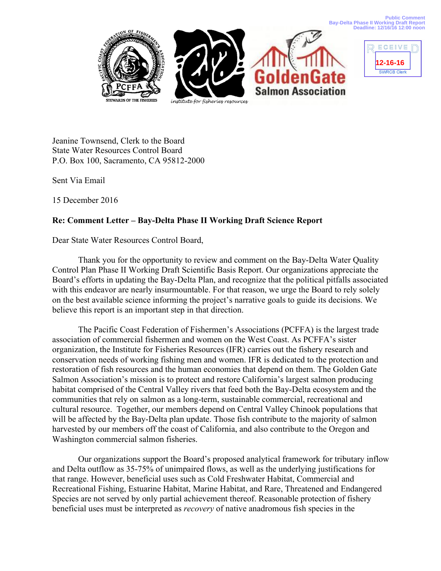**Public Comment Bay-Delta Phase II Working Draft Report Deadline: 12/16/16 12:00 noon**





Jeanine Townsend, Clerk to the Board State Water Resources Control Board P.O. Box 100, Sacramento, CA 95812-2000

Sent Via Email

15 December 2016

## **Re: Comment Letter – Bay-Delta Phase II Working Draft Science Report**

Dear State Water Resources Control Board,

Thank you for the opportunity to review and comment on the Bay-Delta Water Quality Control Plan Phase II Working Draft Scientific Basis Report. Our organizations appreciate the Board's efforts in updating the Bay-Delta Plan, and recognize that the political pitfalls associated with this endeavor are nearly insurmountable. For that reason, we urge the Board to rely solely on the best available science informing the project's narrative goals to guide its decisions. We believe this report is an important step in that direction.

The Pacific Coast Federation of Fishermen's Associations (PCFFA) is the largest trade association of commercial fishermen and women on the West Coast. As PCFFA's sister organization, the Institute for Fisheries Resources (IFR) carries out the fishery research and conservation needs of working fishing men and women. IFR is dedicated to the protection and restoration of fish resources and the human economies that depend on them. The Golden Gate Salmon Association's mission is to protect and restore California's largest salmon producing habitat comprised of the Central Valley rivers that feed both the Bay-Delta ecosystem and the communities that rely on salmon as a long-term, sustainable commercial, recreational and cultural resource. Together, our members depend on Central Valley Chinook populations that will be affected by the Bay-Delta plan update. Those fish contribute to the majority of salmon harvested by our members off the coast of California, and also contribute to the Oregon and Washington commercial salmon fisheries.

Our organizations support the Board's proposed analytical framework for tributary inflow and Delta outflow as 35-75% of unimpaired flows, as well as the underlying justifications for that range. However, beneficial uses such as Cold Freshwater Habitat, Commercial and Recreational Fishing, Estuarine Habitat, Marine Habitat, and Rare, Threatened and Endangered Species are not served by only partial achievement thereof. Reasonable protection of fishery beneficial uses must be interpreted as *recovery* of native anadromous fish species in the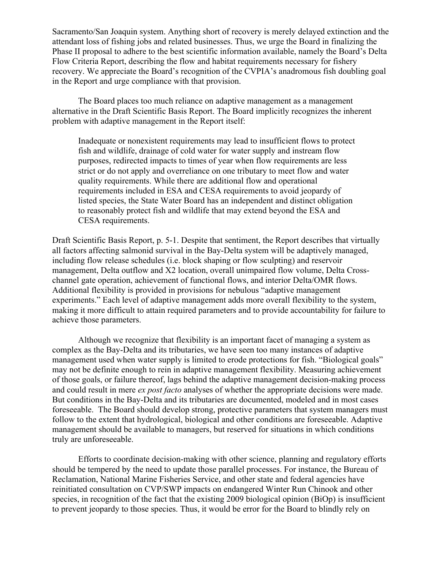Sacramento/San Joaquin system. Anything short of recovery is merely delayed extinction and the attendant loss of fishing jobs and related businesses. Thus, we urge the Board in finalizing the Phase II proposal to adhere to the best scientific information available, namely the Board's Delta Flow Criteria Report, describing the flow and habitat requirements necessary for fishery recovery. We appreciate the Board's recognition of the CVPIA's anadromous fish doubling goal in the Report and urge compliance with that provision.

The Board places too much reliance on adaptive management as a management alternative in the Draft Scientific Basis Report. The Board implicitly recognizes the inherent problem with adaptive management in the Report itself:

Inadequate or nonexistent requirements may lead to insufficient flows to protect fish and wildlife, drainage of cold water for water supply and instream flow purposes, redirected impacts to times of year when flow requirements are less strict or do not apply and overreliance on one tributary to meet flow and water quality requirements. While there are additional flow and operational requirements included in ESA and CESA requirements to avoid jeopardy of listed species, the State Water Board has an independent and distinct obligation to reasonably protect fish and wildlife that may extend beyond the ESA and CESA requirements.

Draft Scientific Basis Report, p. 5-1. Despite that sentiment, the Report describes that virtually all factors affecting salmonid survival in the Bay-Delta system will be adaptively managed, including flow release schedules (i.e. block shaping or flow sculpting) and reservoir management, Delta outflow and X2 location, overall unimpaired flow volume, Delta Crosschannel gate operation, achievement of functional flows, and interior Delta/OMR flows. Additional flexibility is provided in provisions for nebulous "adaptive management experiments." Each level of adaptive management adds more overall flexibility to the system, making it more difficult to attain required parameters and to provide accountability for failure to achieve those parameters.

Although we recognize that flexibility is an important facet of managing a system as complex as the Bay-Delta and its tributaries, we have seen too many instances of adaptive management used when water supply is limited to erode protections for fish. "Biological goals" may not be definite enough to rein in adaptive management flexibility. Measuring achievement of those goals, or failure thereof, lags behind the adaptive management decision-making process and could result in mere *ex post facto* analyses of whether the appropriate decisions were made. But conditions in the Bay-Delta and its tributaries are documented, modeled and in most cases foreseeable. The Board should develop strong, protective parameters that system managers must follow to the extent that hydrological, biological and other conditions are foreseeable. Adaptive management should be available to managers, but reserved for situations in which conditions truly are unforeseeable.

Efforts to coordinate decision-making with other science, planning and regulatory efforts should be tempered by the need to update those parallel processes. For instance, the Bureau of Reclamation, National Marine Fisheries Service, and other state and federal agencies have reinitiated consultation on CVP/SWP impacts on endangered Winter Run Chinook and other species, in recognition of the fact that the existing 2009 biological opinion (BiOp) is insufficient to prevent jeopardy to those species. Thus, it would be error for the Board to blindly rely on